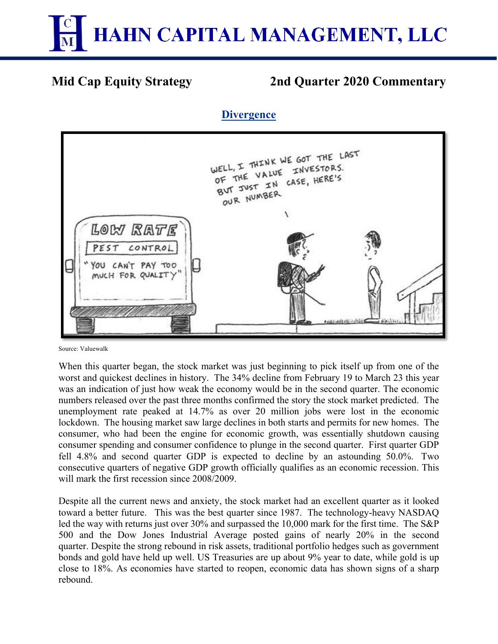

# **Mid Cap Equity Strategy 2nd Quarter 2020 Commentary**

## **Divergence**



Source: Valuewalk

When this quarter began, the stock market was just beginning to pick itself up from one of the worst and quickest declines in history. The 34% decline from February 19 to March 23 this year was an indication of just how weak the economy would be in the second quarter. The economic numbers released over the past three months confirmed the story the stock market predicted. The unemployment rate peaked at 14.7% as over 20 million jobs were lost in the economic lockdown. The housing market saw large declines in both starts and permits for new homes. The consumer, who had been the engine for economic growth, was essentially shutdown causing consumer spending and consumer confidence to plunge in the second quarter. First quarter GDP fell 4.8% and second quarter GDP is expected to decline by an astounding 50.0%. Two consecutive quarters of negative GDP growth officially qualifies as an economic recession. This will mark the first recession since 2008/2009.

Despite all the current news and anxiety, the stock market had an excellent quarter as it looked toward a better future. This was the best quarter since 1987. The technology-heavy NASDAQ led the way with returns just over 30% and surpassed the 10,000 mark for the first time. The S&P 500 and the Dow Jones Industrial Average posted gains of nearly 20% in the second quarter. Despite the strong rebound in risk assets, traditional portfolio hedges such as government bonds and gold have held up well. US Treasuries are up about 9% year to date, while gold is up close to 18%. As economies have started to reopen, economic data has shown signs of a sharp rebound.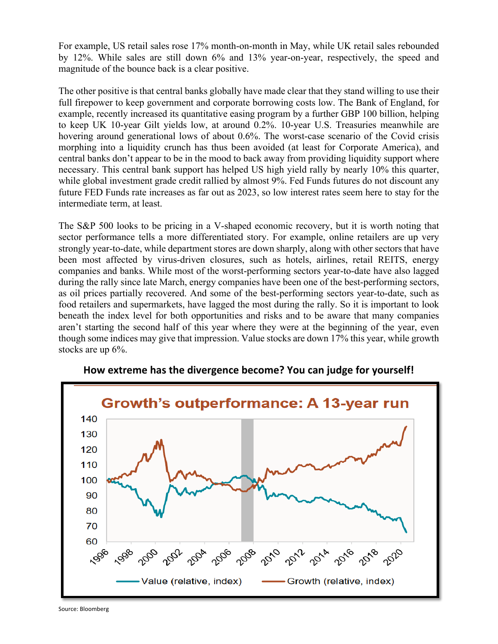For example, US retail sales rose 17% month-on-month in May, while UK retail sales rebounded by 12%. While sales are still down 6% and 13% year-on-year, respectively, the speed and magnitude of the bounce back is a clear positive.

The other positive is that central banks globally have made clear that they stand willing to use their full firepower to keep government and corporate borrowing costs low. The Bank of England, for example, recently increased its quantitative easing program by a further GBP 100 billion, helping to keep UK 10-year Gilt yields low, at around 0.2%. 10-year U.S. Treasuries meanwhile are hovering around generational lows of about 0.6%. The worst-case scenario of the Covid crisis morphing into a liquidity crunch has thus been avoided (at least for Corporate America), and central banks don't appear to be in the mood to back away from providing liquidity support where necessary. This central bank support has helped US high yield rally by nearly 10% this quarter, while global investment grade credit rallied by almost 9%. Fed Funds futures do not discount any future FED Funds rate increases as far out as 2023, so low interest rates seem here to stay for the intermediate term, at least.

The S&P 500 looks to be pricing in a V-shaped economic recovery, but it is worth noting that sector performance tells a more differentiated story. For example, online retailers are up very strongly year-to-date, while department stores are down sharply, along with other sectors that have been most affected by virus-driven closures, such as hotels, airlines, retail REITS, energy companies and banks. While most of the worst-performing sectors year-to-date have also lagged during the rally since late March, energy companies have been one of the best-performing sectors, as oil prices partially recovered. And some of the best-performing sectors year-to-date, such as food retailers and supermarkets, have lagged the most during the rally. So it is important to look beneath the index level for both opportunities and risks and to be aware that many companies aren't starting the second half of this year where they were at the beginning of the year, even though some indices may give that impression. Value stocks are down 17% this year, while growth stocks are up 6%.



**How extreme has the divergence become? You can judge for yourself!**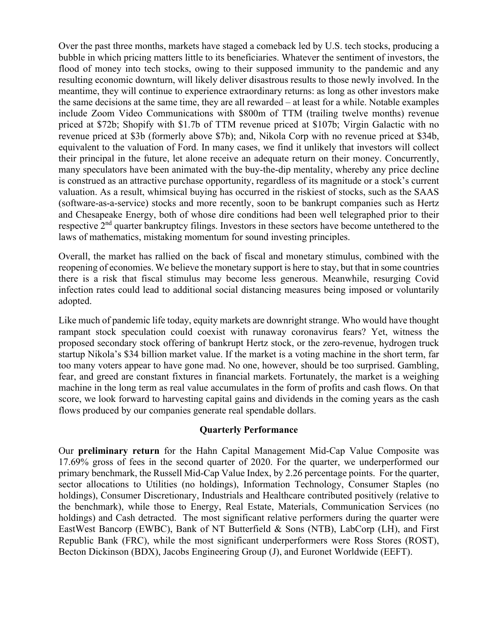Over the past three months, markets have staged a comeback led by U.S. tech stocks, producing a bubble in which pricing matters little to its beneficiaries. Whatever the sentiment of investors, the flood of money into tech stocks, owing to their supposed immunity to the pandemic and any resulting economic downturn, will likely deliver disastrous results to those newly involved. In the meantime, they will continue to experience extraordinary returns: as long as other investors make the same decisions at the same time, they are all rewarded – at least for a while. Notable examples include Zoom Video Communications with \$800m of TTM (trailing twelve months) revenue priced at \$72b; Shopify with \$1.7b of TTM revenue priced at \$107b; Virgin Galactic with no revenue priced at \$3b (formerly above \$7b); and, Nikola Corp with no revenue priced at \$34b, equivalent to the valuation of Ford. In many cases, we find it unlikely that investors will collect their principal in the future, let alone receive an adequate return on their money. Concurrently, many speculators have been animated with the buy-the-dip mentality, whereby any price decline is construed as an attractive purchase opportunity, regardless of its magnitude or a stock's current valuation. As a result, whimsical buying has occurred in the riskiest of stocks, such as the SAAS (software-as-a-service) stocks and more recently, soon to be bankrupt companies such as Hertz and Chesapeake Energy, both of whose dire conditions had been well telegraphed prior to their respective 2<sup>nd</sup> quarter bankruptcy filings. Investors in these sectors have become untethered to the laws of mathematics, mistaking momentum for sound investing principles.

Overall, the market has rallied on the back of fiscal and monetary stimulus, combined with the reopening of economies. We believe the monetary support is here to stay, but that in some countries there is a risk that fiscal stimulus may become less generous. Meanwhile, resurging Covid infection rates could lead to additional social distancing measures being imposed or voluntarily adopted.

Like much of pandemic life today, equity markets are downright strange. Who would have thought rampant stock speculation could coexist with runaway coronavirus fears? Yet, witness the proposed secondary stock offering of bankrupt Hertz stock, or the zero-revenue, hydrogen truck startup Nikola's \$34 billion market value. If the market is a voting machine in the short term, far too many voters appear to have gone mad. No one, however, should be too surprised. Gambling, fear, and greed are constant fixtures in financial markets. Fortunately, the market is a weighing machine in the long term as real value accumulates in the form of profits and cash flows. On that score, we look forward to harvesting capital gains and dividends in the coming years as the cash flows produced by our companies generate real spendable dollars.

## **Quarterly Performance**

Our **preliminary return** for the Hahn Capital Management Mid-Cap Value Composite was 17.69% gross of fees in the second quarter of 2020. For the quarter, we underperformed our primary benchmark, the Russell Mid-Cap Value Index, by 2.26 percentage points. For the quarter, sector allocations to Utilities (no holdings), Information Technology, Consumer Staples (no holdings), Consumer Discretionary, Industrials and Healthcare contributed positively (relative to the benchmark), while those to Energy, Real Estate, Materials, Communication Services (no holdings) and Cash detracted. The most significant relative performers during the quarter were EastWest Bancorp (EWBC), Bank of NT Butterfield & Sons (NTB), LabCorp (LH), and First Republic Bank (FRC), while the most significant underperformers were Ross Stores (ROST), Becton Dickinson (BDX), Jacobs Engineering Group (J), and Euronet Worldwide (EEFT).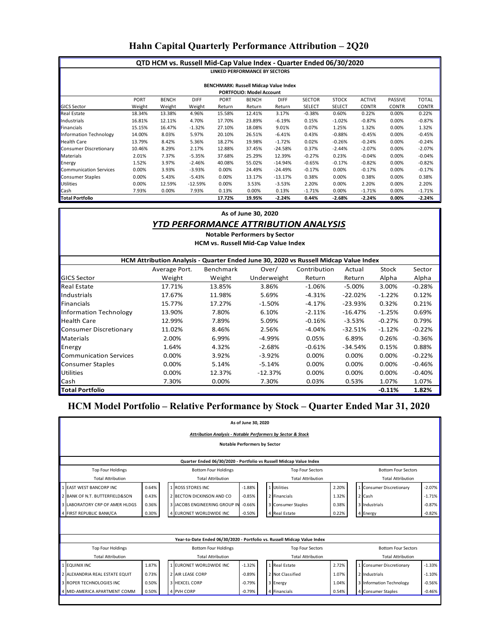## **Hahn Capital Quarterly Performance Attribution – 2Q20**

| QTD HCM vs. Russell Mid-Cap Value Index - Quarter Ended 06/30/2020 |             |              |             |             |              |             |               |               |               |                |              |
|--------------------------------------------------------------------|-------------|--------------|-------------|-------------|--------------|-------------|---------------|---------------|---------------|----------------|--------------|
| <b>LINKED PERFORMANCE BY SECTORS</b>                               |             |              |             |             |              |             |               |               |               |                |              |
|                                                                    |             |              |             |             |              |             |               |               |               |                |              |
| <b>BENCHMARK: Russell Midcap Value Index</b>                       |             |              |             |             |              |             |               |               |               |                |              |
| <b>PORTFOLIO: Model Account</b>                                    |             |              |             |             |              |             |               |               |               |                |              |
|                                                                    | <b>PORT</b> | <b>BENCH</b> | <b>DIFF</b> | <b>PORT</b> | <b>BENCH</b> | <b>DIFF</b> | <b>SECTOR</b> | <b>STOCK</b>  | <b>ACTIVE</b> | <b>PASSIVE</b> | <b>TOTAL</b> |
| <b>GICS Sector</b>                                                 | Weight      | Weight       | Weight      | Return      | Return       | Return      | <b>SELECT</b> | <b>SELECT</b> | <b>CONTR</b>  | <b>CONTR</b>   | <b>CONTR</b> |
| Real Estate                                                        | 18.34%      | 13.38%       | 4.96%       | 15.58%      | 12.41%       | 3.17%       | $-0.38%$      | 0.60%         | 0.22%         | 0.00%          | 0.22%        |
| Industrials                                                        | 16.81%      | 12.11%       | 4.70%       | 17.70%      | 23.89%       | $-6.19%$    | 0.15%         | $-1.02%$      | $-0.87%$      | 0.00%          | $-0.87%$     |
| Financials                                                         | 15.15%      | 16.47%       | $-1.32%$    | 27.10%      | 18.08%       | 9.01%       | 0.07%         | 1.25%         | 1.32%         | 0.00%          | 1.32%        |
| <b>Information Technology</b>                                      | 14.00%      | 8.03%        | 5.97%       | 20.10%      | 26.51%       | $-6.41%$    | 0.43%         | $-0.88%$      | $-0.45%$      | 0.00%          | $-0.45%$     |
| <b>Health Care</b>                                                 | 13.79%      | 8.42%        | 5.36%       | 18.27%      | 19.98%       | $-1.72%$    | 0.02%         | $-0.26%$      | $-0.24%$      | 0.00%          | $-0.24%$     |
| Consumer Discretionary                                             | 10.46%      | 8.29%        | 2.17%       | 12.88%      | 37.45%       | $-24.58%$   | 0.37%         | $-2.44%$      | $-2.07%$      | 0.00%          | $-2.07%$     |
| Materials                                                          | 2.01%       | 7.37%        | $-5.35%$    | 37.68%      | 25.29%       | 12.39%      | $-0.27%$      | 0.23%         | $-0.04%$      | 0.00%          | $-0.04%$     |
| Energy                                                             | 1.52%       | 3.97%        | $-2.46%$    | 40.08%      | 55.02%       | $-14.94%$   | $-0.65%$      | $-0.17%$      | $-0.82%$      | 0.00%          | $-0.82%$     |
| <b>Communication Services</b>                                      | 0.00%       | 3.93%        | $-3.93%$    | 0.00%       | 24.49%       | $-24.49%$   | $-0.17%$      | 0.00%         | $-0.17%$      | 0.00%          | $-0.17%$     |
| <b>Consumer Staples</b>                                            | 0.00%       | 5.43%        | $-5.43%$    | 0.00%       | 13.17%       | $-13.17%$   | 0.38%         | 0.00%         | 0.38%         | 0.00%          | 0.38%        |
| <b>Utilities</b>                                                   | 0.00%       | 12.59%       | $-12.59%$   | 0.00%       | 3.53%        | $-3.53%$    | 2.20%         | 0.00%         | 2.20%         | 0.00%          | 2.20%        |
| Cash                                                               | 7.93%       | 0.00%        | 7.93%       | 0.13%       | 0.00%        | 0.13%       | $-1.71%$      | 0.00%         | $-1.71%$      | 0.00%          | $-1.71%$     |
| <b>Total Portfolio</b>                                             |             |              |             | 17.72%      | 19.95%       | $-2.24%$    | 0.44%         | $-2.68%$      | $-2.24%$      | $0.00\%$       | $-2.24%$     |

#### **As of June 30, 2020**

### *YTD PERFORMANCE ATTRIBUTION ANALYSIS*

**HCM vs. Russell Mid-Cap Value Index Notable Performers by Sector**

| HCM Attribution Analysis - Quarter Ended June 30, 2020 vs Russell Midcap Value Index |               |                  |             |              |            |          |          |  |  |  |
|--------------------------------------------------------------------------------------|---------------|------------------|-------------|--------------|------------|----------|----------|--|--|--|
|                                                                                      | Average Port. | <b>Benchmark</b> | Over/       | Contribution | Actual     | Stock    | Sector   |  |  |  |
| <b>GICS Sector</b>                                                                   | Weight        | Weight           | Underweight | Return       | Return     | Alpha    | Alpha    |  |  |  |
| Real Estate                                                                          | 17.71%        | 13.85%           | 3.86%       | $-1.06%$     | $-5.00%$   | 3.00%    | $-0.28%$ |  |  |  |
| Industrials                                                                          | 17.67%        | 11.98%           | 5.69%       | $-4.31\%$    | $-22.02\%$ | $-1.22%$ | 0.12%    |  |  |  |
| Financials                                                                           | 15.77%        | 17.27%           | $-1.50%$    | $-4.17%$     | $-23.93\%$ | 0.32%    | 0.21%    |  |  |  |
| <b>Information Technology</b>                                                        | 13.90%        | 7.80%            | 6.10%       | $-2.11%$     | -16.47%    | $-1.25%$ | 0.69%    |  |  |  |
| <b>Health Care</b>                                                                   | 12.99%        | 7.89%            | 5.09%       | $-0.16%$     | $-3.53%$   | $-0.27%$ | 0.79%    |  |  |  |
| <b>Consumer Discretionary</b>                                                        | 11.02%        | 8.46%            | 2.56%       | $-4.04%$     | $-32.51\%$ | $-1.12%$ | $-0.22%$ |  |  |  |
| Materials                                                                            | 2.00%         | 6.99%            | -4.99%      | 0.05%        | 6.89%      | 0.26%    | $-0.36%$ |  |  |  |
| Energy                                                                               | 1.64%         | 4.32%            | $-2.68%$    | $-0.61%$     | $-34.54%$  | 0.15%    | 0.88%    |  |  |  |
| <b>Communication Services</b>                                                        | 0.00%         | 3.92%            | $-3.92%$    | 0.00%        | 0.00%      | 0.00%    | $-0.22%$ |  |  |  |
| <b>Consumer Staples</b>                                                              | 0.00%         | 5.14%            | $-5.14%$    | 0.00%        | 0.00%      | 0.00%    | $-0.46%$ |  |  |  |
| <b>Utilities</b>                                                                     | 0.00%         | 12.37%           | $-12.37%$   | 0.00%        | 0.00%      | 0.00%    | $-0.40%$ |  |  |  |
| Cash                                                                                 | 7.30%         | 0.00%            | 7.30%       | 0.03%        | 0.53%      | 1.07%    | 1.07%    |  |  |  |
| <b>Total Portfolio</b>                                                               |               |                  |             |              |            | $-0.11%$ | 1.82%    |  |  |  |

## **HCM Model Portfolio – Relative Performance by Stock – Quarter Ended Mar 31, 2020**

| As of June 30, 2020                                                                |                                                                                      |                                                                          |          |                          |                          |       |                            |                          |          |  |  |
|------------------------------------------------------------------------------------|--------------------------------------------------------------------------------------|--------------------------------------------------------------------------|----------|--------------------------|--------------------------|-------|----------------------------|--------------------------|----------|--|--|
| <b>Attribution Analysis - Notable Performers by Sector &amp; Stock</b>             |                                                                                      |                                                                          |          |                          |                          |       |                            |                          |          |  |  |
| <b>Notable Performers by Sector</b>                                                |                                                                                      |                                                                          |          |                          |                          |       |                            |                          |          |  |  |
|                                                                                    |                                                                                      |                                                                          |          |                          |                          |       |                            |                          |          |  |  |
|                                                                                    | Quarter Ended 06/30/2020 - Portfolio vs Russell Midcap Value Index                   |                                                                          |          |                          |                          |       |                            |                          |          |  |  |
| <b>Top Four Holdings</b>                                                           | <b>Bottom Four Sectors</b><br><b>Bottom Four Holdings</b><br><b>Top Four Sectors</b> |                                                                          |          |                          |                          |       |                            |                          |          |  |  |
| <b>Total Attribution</b>                                                           |                                                                                      | <b>Total Attribution</b>                                                 |          |                          | <b>Total Attribution</b> |       |                            | <b>Total Attribution</b> |          |  |  |
| <b>EAST WEST BANCORP INC</b>                                                       | 0.64%                                                                                | $-1.88%$<br>1 ROSS STORES INC                                            |          | 1 Utilities              |                          | 2.20% |                            | 1 Consumer Discretionary | $-2.07%$ |  |  |
| 2 BANK OF N.T. BUTTERFIELD&SON                                                     | 0.43%                                                                                | 2 BECTON DICKINSON AND CO<br>$-0.85%$                                    |          |                          | 2 Financials             | 1.32% |                            | 2 Cash                   | $-1.71%$ |  |  |
| 3 LABORATORY CRP OF AMER HLDGS                                                     | 0.36%                                                                                | 3 JACOBS ENGINEERING GROUP IN<br>$-0.66%$                                |          |                          | 3 Consumer Staples       | 0.38% |                            | 3 Industrials            | $-0.87%$ |  |  |
| 4 FIRST REPUBLIC BANK/CA                                                           | 0.30%                                                                                | 4 EURONET WORLDWIDE INC<br>$-0.50%$                                      |          |                          | 4 Real Estate            | 0.22% |                            | 4 Energy                 | $-0.82%$ |  |  |
|                                                                                    |                                                                                      |                                                                          |          |                          |                          |       |                            |                          |          |  |  |
|                                                                                    |                                                                                      |                                                                          |          |                          |                          |       |                            |                          |          |  |  |
|                                                                                    |                                                                                      | Year-to-Date Ended 06/30/2020 - Portfolio vs. Russell Midcap Value Index |          |                          |                          |       |                            |                          |          |  |  |
| <b>Top Four Holdings</b><br><b>Bottom Four Holdings</b><br><b>Top Four Sectors</b> |                                                                                      |                                                                          |          |                          |                          |       | <b>Bottom Four Sectors</b> |                          |          |  |  |
| <b>Total Attribution</b>                                                           | <b>Total Attribution</b>                                                             |                                                                          |          | <b>Total Attribution</b> |                          |       | <b>Total Attribution</b>   |                          |          |  |  |
| <b>EQUINIX INC</b>                                                                 | 1.87%                                                                                | 1 EURONET WORLDWIDE INC.                                                 | $-1.32%$ |                          | 1 Real Estate            | 2.72% |                            | 1 Consumer Discretionary | $-1.33%$ |  |  |
| 2 ALEXANDRIA REAL ESTATE EQUIT                                                     | 0.73%                                                                                | 2 AIR LEASE CORP                                                         | $-0.89%$ |                          | 2 Not Classified         | 1.07% |                            | 2 Industrials            | $-1.10%$ |  |  |
| 3 ROPER TECHNOLOGIES INC                                                           | 0.50%                                                                                | 3 HEXCEL CORP<br>$-0.79%$                                                |          |                          | 3 Energy                 | 1.04% |                            | 3 Information Technology | $-0.56%$ |  |  |
| 4 MID-AMERICA APARTMENT COMM                                                       | 0.50%<br>4 PVH CORP<br>$-0.79%$                                                      |                                                                          |          |                          | 4 Financials             | 0.54% |                            | 4 Consumer Staples       | $-0.46%$ |  |  |
|                                                                                    |                                                                                      |                                                                          |          |                          |                          |       |                            |                          |          |  |  |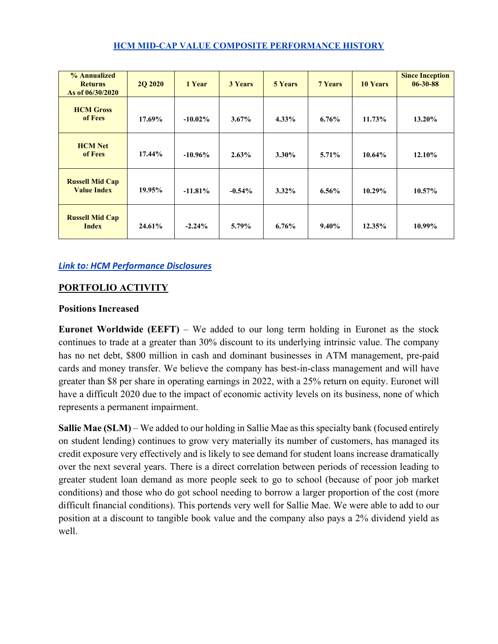### **HCM MID-CAP VALUE COMPOSITE PERFORMANCE HISTORY**

| % Annualized<br><b>Returns</b><br>As of 06/30/2020 | <b>2Q 2020</b> | 1 Year     | <b>3 Years</b> | <b>5 Years</b> | <b>7 Years</b> | <b>10 Years</b> | <b>Since Inception</b><br>$06 - 30 - 88$ |
|----------------------------------------------------|----------------|------------|----------------|----------------|----------------|-----------------|------------------------------------------|
| <b>HCM</b> Gross<br>of Fees                        | 17.69%         | $-10.02\%$ | $3.67\%$       | $4.33\%$       | $6.76\%$       | 11.73%          | 13.20%                                   |
| <b>HCM</b> Net<br>of Fees                          | $17.44\%$      | $-10.96\%$ | $2.63\%$       | $3.30\%$       | 5.71%          | 10.64%          | 12.10%                                   |
| <b>Russell Mid Cap</b><br><b>Value Index</b>       | 19.95%         | $-11.81%$  | $-0.54\%$      | $3.32\%$       | $6.56\%$       | 10.29%          | 10.57%                                   |
| <b>Russell Mid Cap</b><br><b>Index</b>             | 24.61%         | $-2.24%$   | 5.79%          | $6.76\%$       | 9.40%          | 12.35%          | 10.99%                                   |

## *[Link to: HCM Performance Disclosures](http://www.hahncap.com/library/HCM_Performance_Disclosures.pdf)*

## **PORTFOLIO ACTIVITY**

### **Positions Increased**

**Euronet Worldwide (EEFT)** – We added to our long term holding in Euronet as the stock continues to trade at a greater than 30% discount to its underlying intrinsic value. The company has no net debt, \$800 million in cash and dominant businesses in ATM management, pre-paid cards and money transfer. We believe the company has best-in-class management and will have greater than \$8 per share in operating earnings in 2022, with a 25% return on equity. Euronet will have a difficult 2020 due to the impact of economic activity levels on its business, none of which represents a permanent impairment.

**Sallie Mae (SLM)** – We added to our holding in Sallie Mae as this specialty bank (focused entirely on student lending) continues to grow very materially its number of customers, has managed its credit exposure very effectively and is likely to see demand for student loans increase dramatically over the next several years. There is a direct correlation between periods of recession leading to greater student loan demand as more people seek to go to school (because of poor job market conditions) and those who do got school needing to borrow a larger proportion of the cost (more difficult financial conditions). This portends very well for Sallie Mae. We were able to add to our position at a discount to tangible book value and the company also pays a 2% dividend yield as well.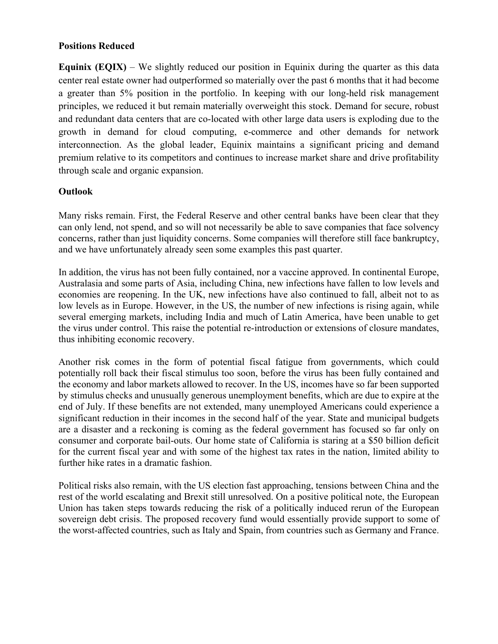## **Positions Reduced**

**Equinix (EQIX)** – We slightly reduced our position in Equinix during the quarter as this data center real estate owner had outperformed so materially over the past 6 months that it had become a greater than 5% position in the portfolio. In keeping with our long-held risk management principles, we reduced it but remain materially overweight this stock. Demand for secure, robust and redundant data centers that are co-located with other large data users is exploding due to the growth in demand for cloud computing, e-commerce and other demands for network interconnection. As the global leader, Equinix maintains a significant pricing and demand premium relative to its competitors and continues to increase market share and drive profitability through scale and organic expansion.

## **Outlook**

Many risks remain. First, the Federal Reserve and other central banks have been clear that they can only lend, not spend, and so will not necessarily be able to save companies that face solvency concerns, rather than just liquidity concerns. Some companies will therefore still face bankruptcy, and we have unfortunately already seen some examples this past quarter.

In addition, the virus has not been fully contained, nor a vaccine approved. In continental Europe, Australasia and some parts of Asia, including China, new infections have fallen to low levels and economies are reopening. In the UK, new infections have also continued to fall, albeit not to as low levels as in Europe. However, in the US, the number of new infections is rising again, while several emerging markets, including India and much of Latin America, have been unable to get the virus under control. This raise the potential re-introduction or extensions of closure mandates, thus inhibiting economic recovery.

Another risk comes in the form of potential fiscal fatigue from governments, which could potentially roll back their fiscal stimulus too soon, before the virus has been fully contained and the economy and labor markets allowed to recover. In the US, incomes have so far been supported by stimulus checks and unusually generous unemployment benefits, which are due to expire at the end of July. If these benefits are not extended, many unemployed Americans could experience a significant reduction in their incomes in the second half of the year. State and municipal budgets are a disaster and a reckoning is coming as the federal government has focused so far only on consumer and corporate bail-outs. Our home state of California is staring at a \$50 billion deficit for the current fiscal year and with some of the highest tax rates in the nation, limited ability to further hike rates in a dramatic fashion.

Political risks also remain, with the US election fast approaching, tensions between China and the rest of the world escalating and Brexit still unresolved. On a positive political note, the European Union has taken steps towards reducing the risk of a politically induced rerun of the European sovereign debt crisis. The proposed recovery fund would essentially provide support to some of the worst-affected countries, such as Italy and Spain, from countries such as Germany and France.